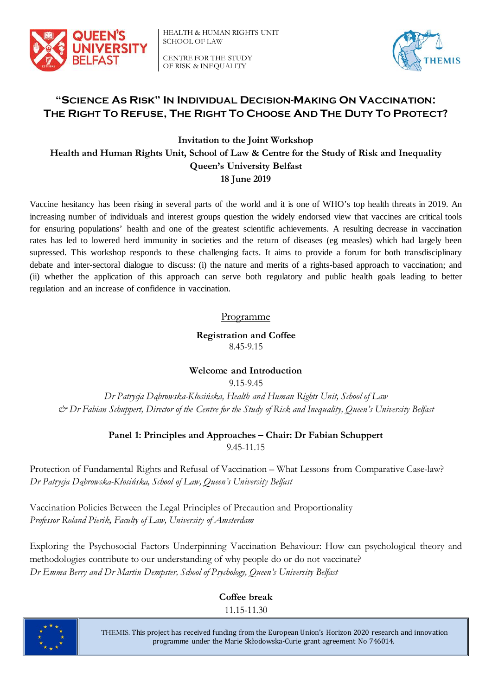

HEALTH & HUMAN RIGHTS UNIT SCHOOL OF LAW

CENTRE FOR THE STUDY OF RISK & INEQUALITY



## **"SCIENCE AS RISK" IN INDIVIDUAL DECISION-MAKING ON VACCINATION: THE RIGHT TO REFUSE, THE RIGHT TO CHOOSE AND THE DUTY TO PROTECT?**

**Invitation to the Joint Workshop Health and Human Rights Unit, School of Law & Centre for the Study of Risk and Inequality Queen's University Belfast 18 June 2019**

Vaccine hesitancy has been rising in several parts of the world and it is one of WHO's top health threats in 2019. An increasing number of individuals and interest groups question the widely endorsed view that vaccines are critical tools for ensuring populations' health and one of the greatest scientific achievements. A resulting decrease in vaccination rates has led to lowered herd immunity in societies and the return of diseases (eg measles) which had largely been supressed. This workshop responds to these challenging facts. It aims to provide a forum for both transdisciplinary debate and inter-sectoral dialogue to discuss: (i) the nature and merits of a rights-based approach to vaccination; and (ii) whether the application of this approach can serve both regulatory and public health goals leading to better regulation and an increase of confidence in vaccination.

#### Programme

**Registration and Coffee** 8.45-9.15

#### **Welcome and Introduction**

9.15-9.45

*Dr Patrycja Dąbrowska-Kłosińska, Health and Human Rights Unit, School of Law & Dr Fabian Schuppert, Director of the Centre for the Study of Risk and Inequality, Queen's University Belfast*

#### **Panel 1: Principles and Approaches – Chair: Dr Fabian Schuppert** 9.45-11.15

Protection of Fundamental Rights and Refusal of Vaccination – What Lessons from Comparative Case-law? *Dr Patrycja Dąbrowska-Kłosińska, School of Law, Queen's University Belfast*

Vaccination Policies Between the Legal Principles of Precaution and Proportionality *Professor Roland Pierik, Faculty of Law, University of Amsterdam*

Exploring the Psychosocial Factors Underpinning Vaccination Behaviour: How can psychological theory and methodologies contribute to our understanding of why people do or do not vaccinate? *Dr Emma Berry and Dr Martin Dempster, School of Psychology, Queen's University Belfast*

> **Coffee break** 11.15-11.30



THEMIS. This project has received funding from the European Union's Horizon 2020 research and innovation programme under the Marie Skłodowska-Curie grant agreement No 746014.